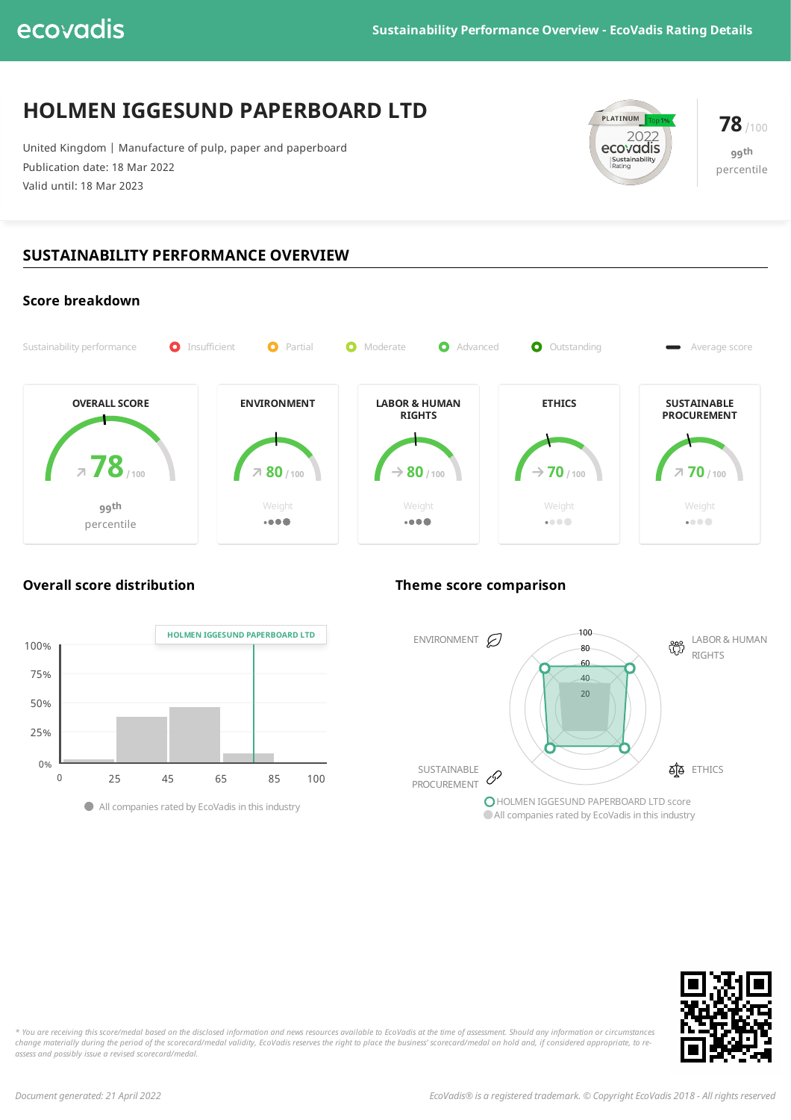# **HOLMEN IGGESUND PAPERBOARD LTD**

United Kingdom | Manufacture of pulp, paper and paperboard Publication date: 18 Mar 2022 Valid until: 18 Mar 2023



**78**/100 **99 th** percentile

## **SUSTAINABILITY PERFORMANCE OVERVIEW**



### **Overall score distribution Theme score comparison**



ENVIRONMENT  $\bigotimes$   $\begin{array}{c} 100 \\ 80 \\ 100 \end{array}$  LABOR & HUMAN RIGHTS SUSTAINABLE PROCUREMENT **AB** ETHICS HOLMEN IGGESUND PAPERBOARD LTD score Allcompanies rated by EcoVadis in this industry 20  $40$ 60 80 100  $90 \pm 90$  $\sigma$ 



\* You are receiving this score/medal based on the disclosed information and news resources available to EcoVadis at the time of assessment. Should any information or circumstances change materially during the period of the scorecard/medal validity, EcoVadis reserves the right to place the business' scorecard/medal on hold and, if considered appropriate, to re*assess and possibly issue a revised scorecard/medal.*